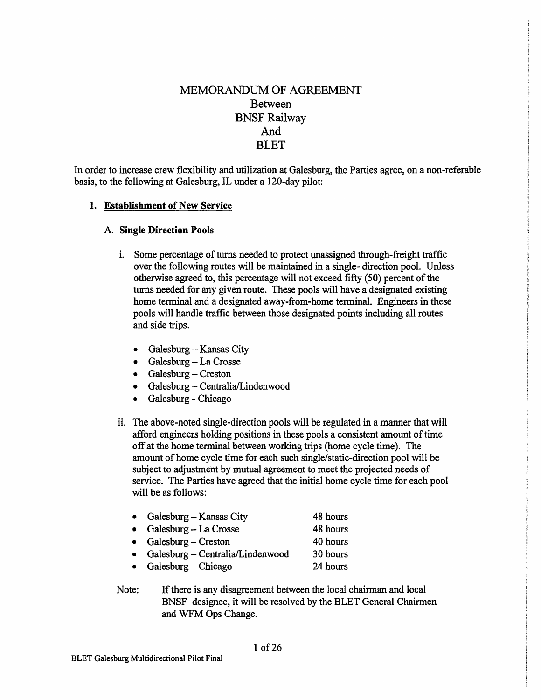# MEMORANDUM OF AGREEMENT Between BNSF Railway And **BLET**

In order to increase crew flexibility and utilization at Galesburg, the Parties agree, on a non-referable basis, to the following at Galesburg, IL under a 120-day pilot:

## **1. Establishment of New Service**

#### A. **Single Direction Pools**

- 1. Some percentage of turns needed to protect unassigned through-freight traffic over the following routes will be maintained in a single- direction pool. Unless otherwise agreed to, this percentage will not exceed fifty (50) percent of the turns needed for any given route. These pools will have a designated existing home terminal and a designated away-from-home terminal. Engineers in these pools will handle traffic between those designated points including all routes and side trips.
	- Galesburg Kansas City
	- Galesburg La Crosse
	- Galesburg Creston
	- Galesburg Centralia/Lindenwood
	- Galesburg Chicago
- ii. The above-noted single-direction pools will be regulated in a manner that will afford engineers holding positions in these pools a consistent amount of time off at the home terminal between working trips (home cycle time). The amount of home cycle time for each such single/static-direction pool will be subject to adjustment by mutual agreement to meet the projected needs of service. The Parties have agreed that the initial home cycle time for each pool will be as follows:

| $\bullet$ | Galesburg – Kansas City          | 48 hours |
|-----------|----------------------------------|----------|
|           | Galesburg - La Crosse            | 48 hours |
|           | • Galesburg – Creston            | 40 hours |
| $\bullet$ | Galesburg - Centralia/Lindenwood | 30 hours |
|           | • Galesburg – Chicago            | 24 hours |
|           |                                  |          |

Note: If there is any disagreement between the local chairman and local BNSF designee, it will be resolved by the BLET General Chairmen and WFM Ops Change.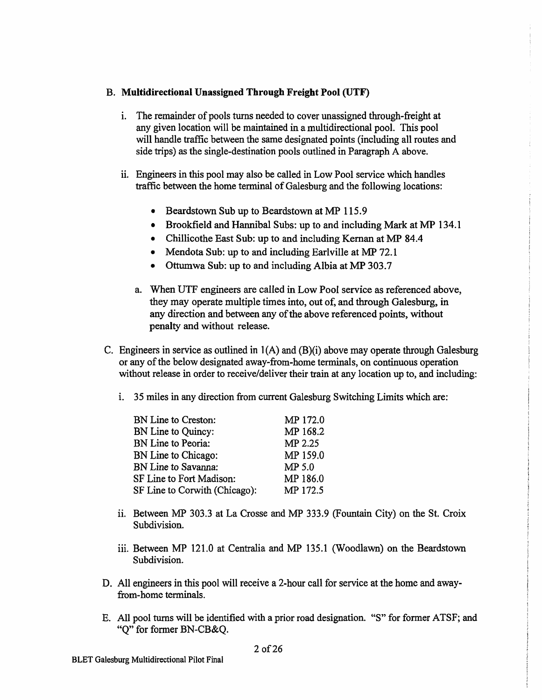## B. **Multidirectional Unassigned Through Freight Pool (UTF)**

- 1. The remainder of pools turns needed to cover unassigned through-freight at any given location will be maintained in a multidirectional pool. This pool will handle traffic between the same designated points (including all routes and side trips) as the single-destination pools outlined in Paragraph A above.
- ii. Engineers in this pool may also be called in Low Pool service which handles traffic between the home terminal of Galesburg and the following locations:
	- Beardstown Sub up to Beardstown at MP 115.9
	- Brookfield and Hannibal Subs: up to and including Mark at MP 134.1
	- Chillicothe East Sub: up to and including Kernan at MP 84.4
	- Mendota Sub: up to and including Earlville at MP 72.1
	- Ottumwa Sub: up to and including Albia at MP 303.7
	- a. When UTF engineers are called in Low Pool service as referenced above, they may operate multiple times into, out of, and through Galesburg, in any direction and between any of the above referenced points, without penalty and without release.
- C. Engineers in service as outlined in 1 (A) and (B)(i) above may operate through Galesburg or any of the below designated away-from-home terminals, on continuous operation without release in order to receive/deliver their train at any location up to, and including:
	- i. 35 miles in any direction from current Galesburg Switching Limits which are:

| BN Line to Creston:           | MP 172.0 |
|-------------------------------|----------|
| BN Line to Quincy:            | MP 168.2 |
| BN Line to Peoria:            | MP 2.25  |
| BN Line to Chicago:           | MP 159.0 |
| BN Line to Savanna:           | MP 5.0   |
| SF Line to Fort Madison:      | MP 186.0 |
| SF Line to Corwith (Chicago): | MP 172.5 |

- ii. Between MP 303.3 at La Crosse and MP 333.9 (Fountain City) on the St. Croix Subdivision.
- iii. Between MP 121.0 at Centralia and MP 135.1 (Woodlawn) on the Beardstown Subdivision.
- D. All engineers in this pool will receive a 2-hour call for service at the home and awayfrom-home terminals.
- E. All pool turns will be identified with a prior road designation. "S" for former ATSF; and "Q" for former BN-CB&Q.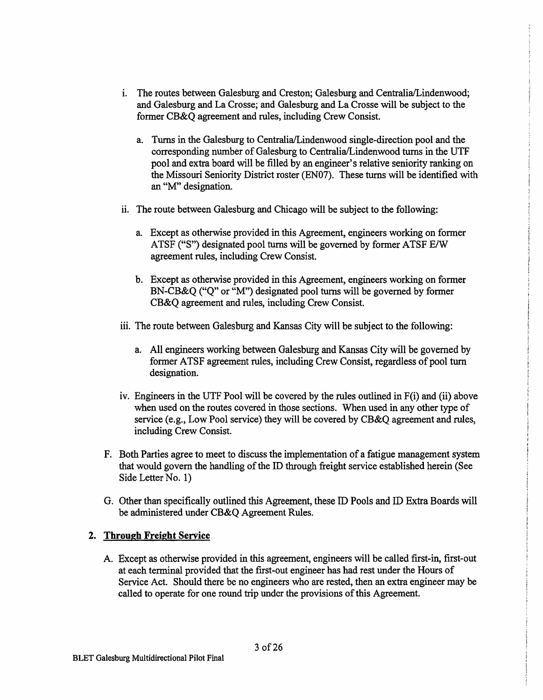- 1. The routes between Galesburg and Creston; Galesburg and Centralia/Lindenwood; and Galesburg and La Crosse; and Galesburg and La Crosse will be subject to the former CB&Q agreement and rules, including Crew Consist.
	- a. Tums in the Galesburg to Centralia/Lindenwood single-direction pool and the corresponding number of Galesburg to Centralia/Lindenwood turns in the UTF pool and extra board will be filled by an engineer's relative seniority ranking on the Missouri Seniority District roster (EN07). These turns will be identified with an "M" designation.
- ii. The route between Galesburg and Chicago will be subject to the following:
	- a. Except as otherwise provided in this Agreement, engineers working on former ATSF (''S") designated pool turns will be governed by former ATSF E/W agreement rules, including Crew Consist.
	- b. Except as otherwise provided in this Agreement, engineers working on former BN-CB&Q ("Q" or "M") designated pool turns will be governed by former CB&Q agreement and rules, including Crew Consist.
- iii. The route between Galesburg and Kansas City will be subject to the following:
	- a. All engineers working between Galesburg and Kansas City will be governed by former ATSF agreement rules, including Crew Consist, regardless of pool turn designation.
- iv. Engineers in the UTF Pool will be covered by the rules outlined in F(i) and (ii) above when used on the routes covered in those sections. When used in any other type of service (e.g., Low Pool service) they will be covered by CB&Q agreement and rules, including Crew Consist.
- F. Both Parties agree to meet to discuss the implementation of a fatigue management system that would govern the handling of the ID through freight service established herein (See Side Letter No. 1)
- G. Other than specifically outlined this Agreement, these ID Pools and ID Extra Boards will be administered under CB&Q Agreement Rules.

## **2. Through Freight Service**

A. Except as otherwise provided in this agreement, engineers will be called first-in, first-out at each terminal provided that the first-out engineer has had rest under the Hours of Service Act. Should there be no engineers who are rested, then an extra engineer may be called to operate for one round trip under the provisions of this Agreement.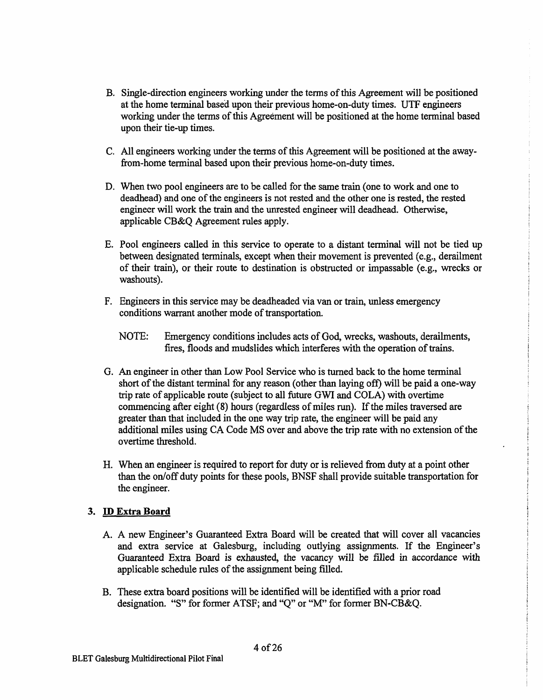- B. Single-direction engineers working under the tenns of this Agreement will be positioned at the home terminal based upon their previous home-on-duty times. UTF engineers working under the terms of this Agreement will be positioned at the home terminal based upon their tie-up times.
- C. All engineers working under the terms of this Agreement will be positioned at the awayfrom-home terminal based upon their previous home-on-duty times.
- D. When two pool engineers are to be called for the same train (one to work and one to deadhead) and one of the engineers is not rested and the other one is rested, the rested engineer will work the train and the unrested engineer will deadhead. Otherwise, applicable CB&Q Agreement rules apply.
- E. Pool engineers called in this service to operate to a distant terminal will not be tied up between designated terminals, except when their movement is prevented (e.g., derailment of their train), or their route to destination is obstructed or impassable (e.g., wrecks or washouts).
- F. Engineers in this service may be deadheaded via van or train, unless emergency conditions warrant another mode of transportation.
	- NOTE: Emergency conditions includes acts of God, wrecks, washouts, derailments, fires, floods and mudslides which interferes with the operation of trains.
- G. An engineer in other than Low Pool Service who is turned back to the home terminal short of the distant terminal for any reason ( other than laying off) will be paid a one-way trip rate of applicable route (subject to all future GWI and COLA) with overtime commencing after eight (8) hours (regardless of miles run). If the miles traversed are greater than that included in the one way trip rate, the engineer will be paid any additional miles using CA Code MS over and above the trip rate with no extension of the overtime threshold.
- H. When an engineer is required to report for duty or is relieved from duty at a point other than the on/off duty points for these pools, BNSF shall provide suitable transportation for the engineer.

## **3. ID Extra Board**

- A. A new Engineer's Guaranteed Extra Board will be created that will cover all vacancies and extra service at Galesburg, including outlying assignments. If the Engineer's Guaranteed Extra Board is exhausted, the vacancy will be filled in accordance with applicable schedule rules of the assignment being filled.
- B. These extra board positions will be identified will be identified with a prior road designation. "S" for former ATSF; and "Q" or "M" for former BN-CB&Q.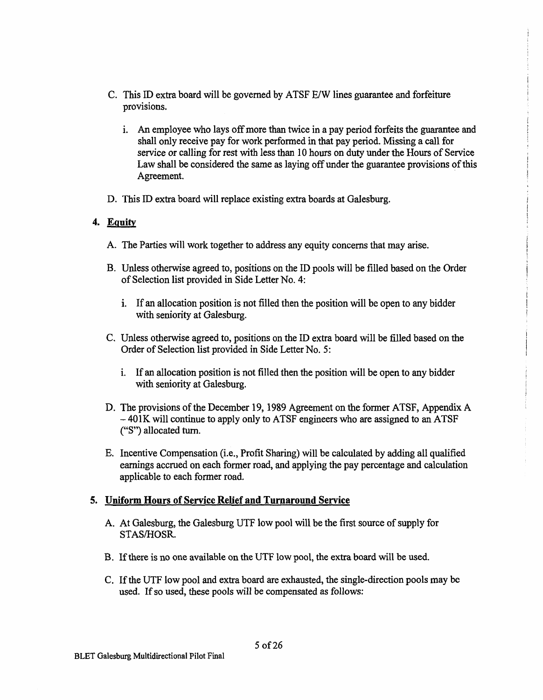- C. This ID extra board will be governed by ATSF E/W lines guarantee and forfeiture provisions.
	- 1. An employee who lays off more than twice in a pay period forfeits the guarantee and shall only receive pay for work performed in that pay period. Missing a call for service or calling for rest with less than 10 hours on duty under the Hours of Service Law shall be considered the same as laying off under the guarantee provisions of this Agreement.
- D. This ID extra board will replace existing extra boards at Galesburg.

## **4. Equity**

- A. The Parties will work together to address any equity concerns that may arise.
- B. Unless otherwise agreed to, positions on the ID pools will be filled based on the Order of Selection list provided in Side Letter No. 4:
	- i. If an allocation position is not filled then the position will be open to any bidder with seniority at Galesburg.
- C. Unless otherwise agreed to, positions on the ID extra board will be filled based on the Order of Selection list provided in Side Letter No. 5:
	- 1. If an allocation position is not filled then the position will be open to any bidder with seniority at Galesburg.
- D. The provisions of the December 19, 1989 Agreement on the former ATSF, Appendix A - 401K will continue to apply only to ATSF engineers who are assigned to an ATSF (''S") allocated tum.
- E. Incentive Compensation (i.e., Profit Sharing) will be calculated by adding all qualified earnings accrued on each former road, and applying the pay percentage and calculation applicable to each former road.

## **5. Uniform Hours of Service Relief and Turnaround Service**

- A. At Galesburg, the Galesburg UTF low pool will be the first source of supply for STAS/HOSR.
- B. If there is no one available on the UTF low pool, the extra board will be used.
- C. If the UTF low pool and extra board are exhausted, the single-direction pools may be used. If so used, these pools will be compensated as follows: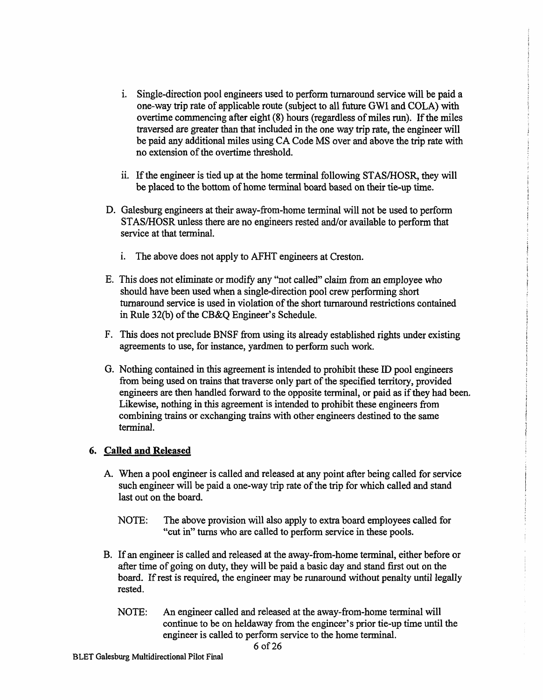- 1. Single-direction pool engineers used to perform turnaround service will be paid a one-way trip rate of applicable route (subject to all future GWI and COLA) with overtime commencing after eight (8) hours (regardless of miles run). If the miles traversed are greater than that included in the one way trip rate, the engineer will be paid any additional miles using CA Code MS over and above the trip rate with no extension of the overtime threshold.
- ii. If the engineer is tied up at the home terminal following STAS/HOSR, they will be placed to the bottom of home terminal board based on their tie-up time.
- D. Galesburg engineers at their away-from-home terminal will not be used to perfonn STAS/HOSR unless there are no engineers rested and/or available to perform that service at that terminal.
	- i. The above does not apply to AFHT engineers at Creston.
- E. This does not eliminate or modify any "not called" claim from an employee who should have been used when a single-direction pool crew performing short turnaround service is used in violation of the short turnaround restrictions contained in Rule 32(b) of the CB&Q Engineer's Schedule.
- F. This does not preclude BNSF from using its already established rights under existing agreements to use, for instance, yardmen to perform such work.
- G. Nothing contained in this agreement is intended to prohibit these ID pool engineers from being used on trains that traverse only part of the specified territory, provided engineers are then handled forward to the opposite terminal, or paid as if they had been. Likewise, nothing in this agreement is intended to prohibit these engineers from combining trains or exchanging trains with other engineers destined to the same terminal.

#### **6. Called and Released**

- A. When a pool engineer is called and released at any point after being called for service such engineer will be paid a one-way trip rate of the trip for which called and stand last out on the board.
	- NOTE: The above provision will also apply to extra board employees called for "cut in" turns who are called to perform service in these pools.
- B. If an engineer is called and released at the away-from-home terminal, either before or after time of going on duty, they will be paid a basic day and stand first out on the board. If rest is required, the engineer may be runaround without penalty until legally rested.
	- NOTE: An engineer called and released at the away-from-home terminal will continue to be on heldaway from the engineer's prior tie-up time until the engineer is called to perform service to the home terminal.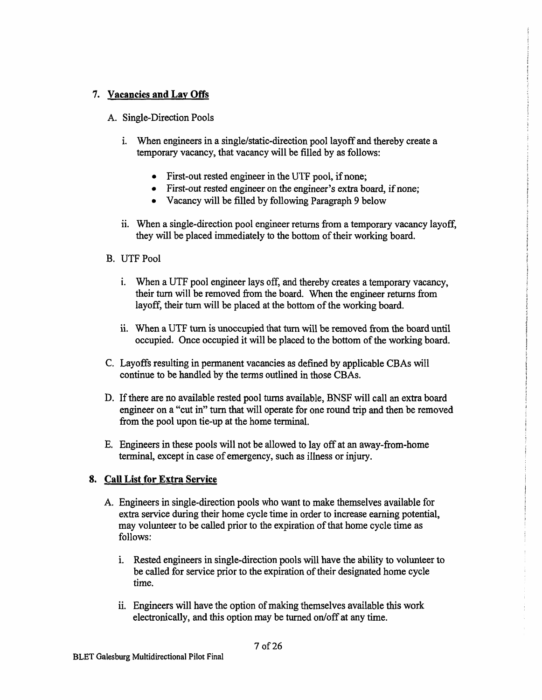# 7. **Vacancies and Lay Offs**

- A. Single-Direction Pools
	- i. When engineers in a single/static-direction pool layoff and thereby create a temporary vacancy, that vacancy will be filled by as follows:
		- First-out rested engineer in the UTF pool, if none;
		- First-out rested engineer on the engineer's extra board, if none;
		- Vacancy will be filled by following Paragraph 9 below
	- i. When a single-direction pool engineer returns from a temporary vacancy layoff, they will be placed immediately to the bottom of their working board.
- B. UTF Pool
	- i. When a UTF pool engineer lays off, and thereby creates a temporary vacancy, their tum will be removed from the board. When the engineer returns from layoff, their tum will be placed at the bottom of the working board.
	- ii. When a UTF tum is unoccupied that turn will be removed from the board until occupied. Once occupied it will be placed to the bottom of the working board.
- C. Layoffs resulting in permanent vacancies as defined by applicable CBAs will continue to be handled by the terms outlined in those CBAs.
- D. If there are no available rested pool turns available, BNSF will call an extra board engineer on a "cut in" tum that will operate for one round trip and then be removed from the pool upon tie-up at the home terminal.
- E. Engineers in these pools will not be allowed to lay off at an away-from-home terminal, except in case of emergency, such as illness or injury.

# **8. Call List for Extra Service**

- A. Engineers in single-direction pools who want to make themselves available for extra service during their home cycle time in order to increase earning potential, may volunteer to be called prior to the expiration of that home cycle time as follows:
	- i. Rested engineers in single-direction pools will have the ability to volunteer to be called for service prior to the expiration of their designated home cycle time.
	- ii. Engineers will have the option of making themselves available this work electronically, and this option may be turned on/off at any time.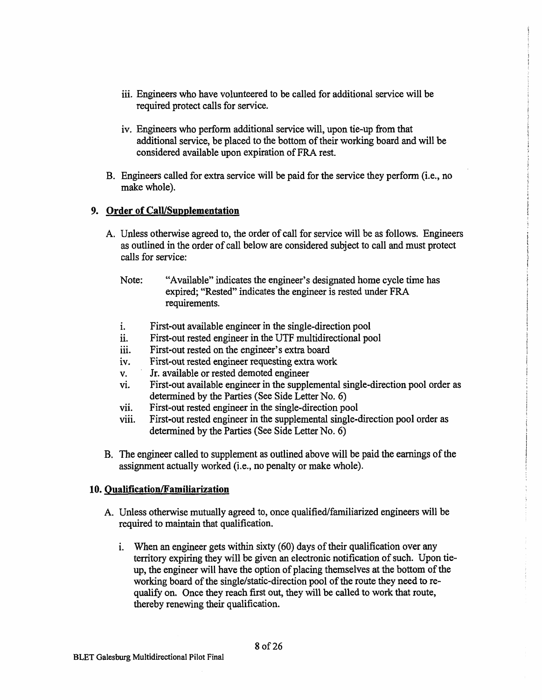- iii. Engineers who have volunteered to be called for additional service will be required protect calls for service.
- iv. Engineers who perform additional service will, upon tie-up from that additional service, be placed to the bottom of their working board and will be considered available upon expiration of FRA rest.
- B. Engineers called for extra service will be paid for the service they perform (i.e., no make whole).

#### **9. Order of Call/Supplementation**

- A. Unless otherwise agreed to, the order of call for service will be as follows. Engineers as outlined in the order of call below are considered subject to call and must protect calls for service:
	- Note: "Available" indicates the engineer's designated home cycle time has expired; "Rested" indicates the engineer is rested under FRA requirements.
	- 1. First-out available engineer in the single-direction pool
	- ii. First-out rested engineer in the UTF multidirectional pool
	- iii. First-out rested on the engineer's extra board
	- iv. First-out rested engineer requesting extra work
	- v. Jr. available or rested demoted engineer
	- vi. First-out available engineer in the supplemental single-direction pool order as determined by the Parties (See Side Letter No. 6)
	- vii. First-out rested engineer in the single-direction pool
	- viii. First-out rested engineer in the supplemental single-direction pool order as determined by the Parties (See Side Letter No. 6)
- B. The engineer called to supplement as outlined above will be paid the earnings of the assignment actually worked (i.e., no penalty or make whole).

## **10. Qualification/Familiarization**

- A. Unless otherwise mutually agreed to, once qualified/familiarized engineers will be required to maintain that qualification.
	- i. When an engineer gets within sixty (60) days of their qualification over any territory expiring they will be given an electronic notification of such. Upon tieup, the engineer will have the option of placing themselves at the bottom of the working board of the single/static~direction pool of the route they need to requalify on. Once they reach first out, they will be called to work that route, thereby renewing their qualification.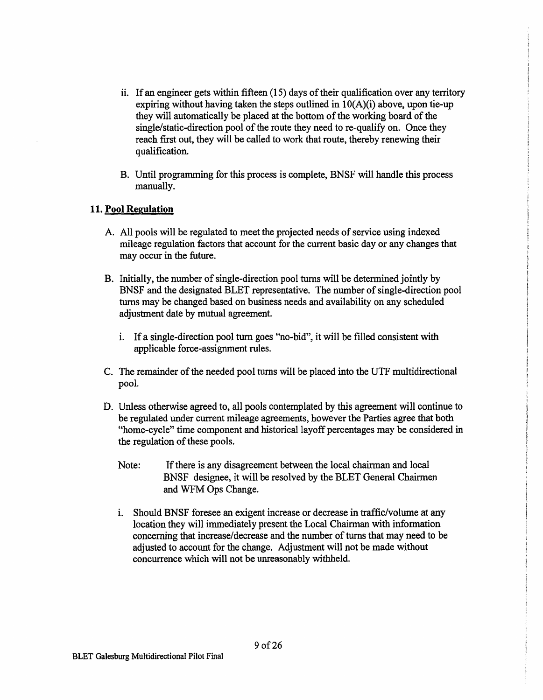- ii. If an engineer gets within fifteen (15) days of their qualification over any territory expiring without having taken the steps outlined in  $10(A)(i)$  above, upon tie-up they will automatically be placed at the bottom of the working board of the single/static-direction pool of the route they need to re-qualify on. Once they reach first out, they will be called to work that route, thereby renewing their qualification.
- B. Until programming for this process is complete, BNSF will handle this process manually.

## **11. Pool Regulation**

- A. All pools will be regulated to meet the projected needs of service using indexed mileage regulation factors that account for the current basic day or any changes that may occur in the future.
- B. Initially, the number of single-direction pool turns will be determined jointly by BNSF and the designated BLET representative. The number of single-direction pool turns may be changed based on business needs and availability on any scheduled adjustment date by mutual agreement.
	- 1. If a single-direction pool tum goes "no-bid", it will be filled consistent with applicable force-assignment rules.
- C. The remainder of the needed pool turns will be placed into the UTF multidirectional pool.
- D. Unless otherwise agreed to, all pools contemplated by this agreement will continue to be regulated under current mileage agreements, however the Parties agree that both "home-cycle" time component and historical layoff percentages may be considered in the regulation of these pools.
	- Note: If there is any disagreement between the local chairman and local BNSF designee, it will be resolved by the BLET General Chairmen and WFM Ops Change.
	- i. Should BNSF foresee an exigent increase or decrease in traffic/volume at any location they will immediately present the Local Chairman with information concerning that increase/decrease and the number of turns that may need to be adjusted to account for the change. Adjustment will not be made without concurrence which will not be unreasonably withheld.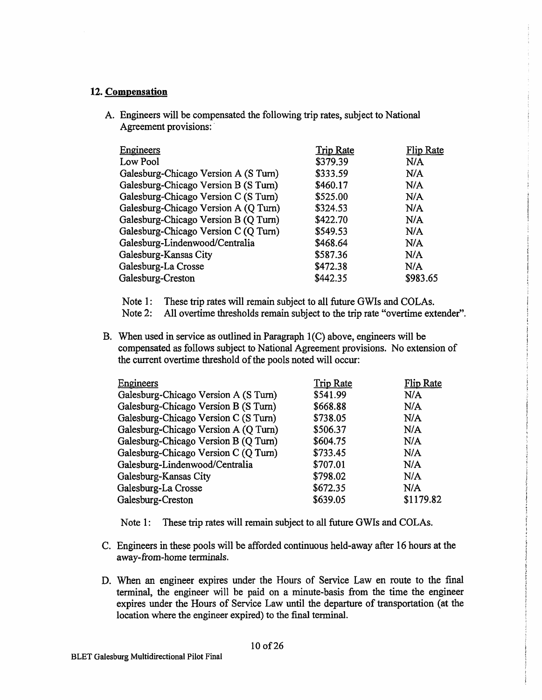## **12. Compensation**

A. Engineers will be compensated the following trip rates, subject to National Agreement provisions:

| Engineers                            | <b>Trip Rate</b> | Flip Rate |
|--------------------------------------|------------------|-----------|
| Low Pool                             | \$379.39         | N/A       |
| Galesburg-Chicago Version A (S Turn) | \$333.59         | N/A       |
| Galesburg-Chicago Version B (S Turn) | \$460.17         | N/A       |
| Galesburg-Chicago Version C (S Turn) | \$525.00         | N/A       |
| Galesburg-Chicago Version A (Q Turn) | \$324.53         | N/A       |
| Galesburg-Chicago Version B (Q Turn) | \$422.70         | N/A       |
| Galesburg-Chicago Version C (Q Turn) | \$549.53         | N/A       |
| Galesburg-Lindenwood/Centralia       | \$468.64         | N/A       |
| Galesburg-Kansas City                | \$587.36         | N/A       |
| Galesburg-La Crosse                  | \$472.38         | N/A       |
| Galesburg-Creston                    | \$442.35         | \$983.65  |

Note 1: These trip rates will remain subject to all future GWis and COLAs.

Note 2: All overtime thresholds remain subject to the trip rate "overtime extender".

B. When used in service as outlined in Paragraph  $1(C)$  above, engineers will be compensated as follows subject to National Agreement provisions. No extension of the current overtime threshold of the pools noted will occur:

| Engineers                            | <b>Trip Rate</b> | <b>Flip Rate</b> |
|--------------------------------------|------------------|------------------|
| Galesburg-Chicago Version A (S Turn) | \$541.99         | N/A              |
| Galesburg-Chicago Version B (S Turn) | \$668.88         | N/A              |
| Galesburg-Chicago Version C (S Turn) | \$738.05         | N/A              |
| Galesburg-Chicago Version A (Q Turn) | \$506.37         | N/A              |
| Galesburg-Chicago Version B (Q Turn) | \$604.75         | N/A              |
| Galesburg-Chicago Version C (Q Turn) | \$733.45         | N/A              |
| Galesburg-Lindenwood/Centralia       | \$707.01         | N/A              |
| Galesburg-Kansas City                | \$798.02         | N/A              |
| Galesburg-La Crosse                  | \$672.35         | N/A              |
| Galesburg-Creston                    | \$639.05         | \$1179.82        |

Note 1: These trip rates will remain subject to all future GWis and COLAs.

- C. Engineers in these pools will be afforded continuous held-away after 16 hours at the away-from-home terminals.
- D. When an engineer expires under the Hours of Service Law en route to the final terminal, the engineer will be paid on a minute-basis from the time the engineer expires under the Hours of Service Law until the departure of transportation (at the location where the engineer expired) to the final terminal.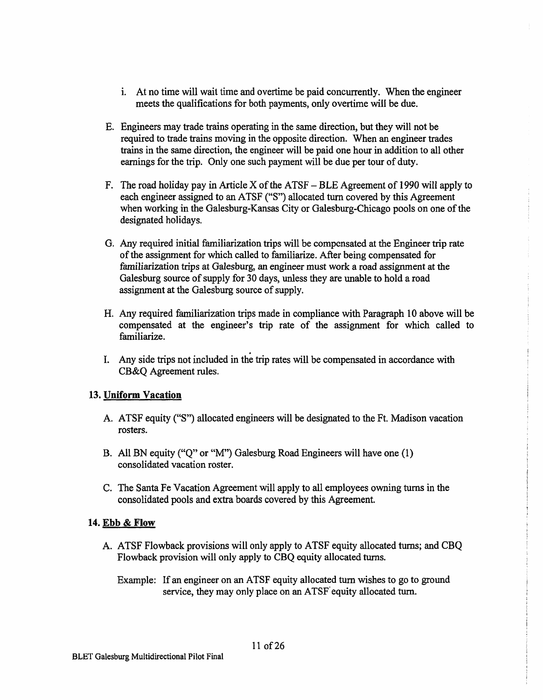- 1. At no time will wait time and overtime be paid concurrently. When the engineer meets the qualifications for both payments, only overtime will be due.
- E. Engineers may trade trains operating in the same direction, but they will not be required to trade trains moving in the opposite direction. When an engineer trades trains in the same direction, the engineer will be paid one hour in addition to all other earnings for the trip. Only one such payment will be due per tour of duty.
- F. The road holiday pay in Article X of the ATSF  $-$  BLE Agreement of 1990 will apply to each engineer assigned to an ATSF ("S") allocated turn covered by this Agreement when working in the Galesburg-Kansas City or Galesburg-Chicago pools on one of the designated holidays.
- G. Any required initial familiarization trips will be compensated at the Engineer trip rate of the assignment for which called to familiarize. After being compensated for familiarization trips at Galesburg, an engineer must work a road assignment at the Galesburg source of supply for 30 days, unless they are unable to hold a road assignment at the Galesburg source of supply.
- H. Any required familiarization trips made in compliance with Paragraph 10 above will be compensated at the engineer's trip rate of the assignment for which called to familiarize.
- . I. Any side trips not included in the trip rates will be compensated in accordance with CB&Q Agreement rules.

## **13. Uniform Vacation**

- A. ATSF equity (''S") allocated engineers will be designated to the Ft. Madison vacation rosters.
- B. All BN equity ("Q" or "M") Galesburg Road Engineers will have one (1) consolidated vacation roster.
- C. The Santa Fe Vacation Agreement will apply to all employees owning turns in the consolidated pools and extra boards covered by this Agreement.

#### **14. Ebb & Flow**

- A. ATSF Flowback provisions will only apply to ATSF equity allocated turns; and CBQ Flowback provision will only apply to CBQ equity allocated turns.
	- Example: If an engineer on an ATSF equity allocated tum wishes to go to ground service, they may only place on an ATSF' equity allocated tum.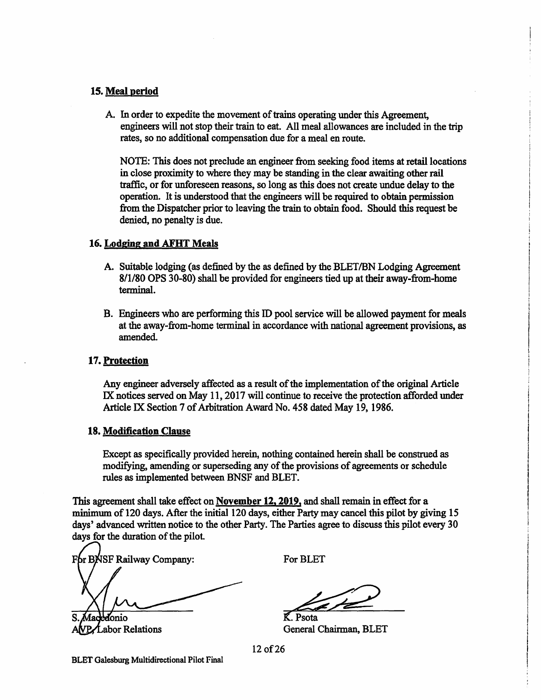#### **15. Meal period**

A. In order to expedite the movement of trains operating under this Agreement, engineers will not stop their train to eat. All meal allowances are included in the trip rates, so no additional compensation due for a meal en route.

NOTE: This does not preclude an engineer from seeking food items at retail locations in close proximity to where they may be standing in the clear awaiting other rail traffic, or for unforeseen reasons, so long as this does not create undue delay to the operation. It is understood that the engineers will be required to obtain permission from the Dispatcher prior to leaving the train to obtain food. Should this request be denied, no penalty is due.

#### **16. Lodging and AFHT Meals**

- A. Suitable lodging (as defined by the as defined by the BLET /BN Lodging Agreement 8/1/80 OPS 30-80) shall be provided for engineers tied up at their away-from-home terminal.
- B. Engineers who are performing this ID pool service will be allowed payment for meals at the away-from-home terminal in accordance with national agreement provisions, as amended.

#### **17. Protection**

Any engineer adversely affected as a result of the implementation of the original Article IX notices served on May 11, 2017 will continue to receive the protection afforded under Article IX Section 7 of Arbitration Award No. 458 dated May 19, 1986.

#### **18. Modification Clause**

Except as specifically provided herein, nothing contained herein shall be construed as modifying, amending or superseding any of the provisions of agreements or schedule rules as implemented between BNSF and BLET.

This agreement shall take effect on **November 12, 2019,** and shall remain in effect for a minimum of 120 days. After the initial 120 days, either Party may cancel this pilot by giving 15 days' advanced written notice to the other Party. The Parties agree to discuss this pilot every 30 days for the duration of the pilot.

For BNSF Railway Company: donio

VP/Labor Relations

For BLET

K. Psota General Chairman, BLET

12 of 26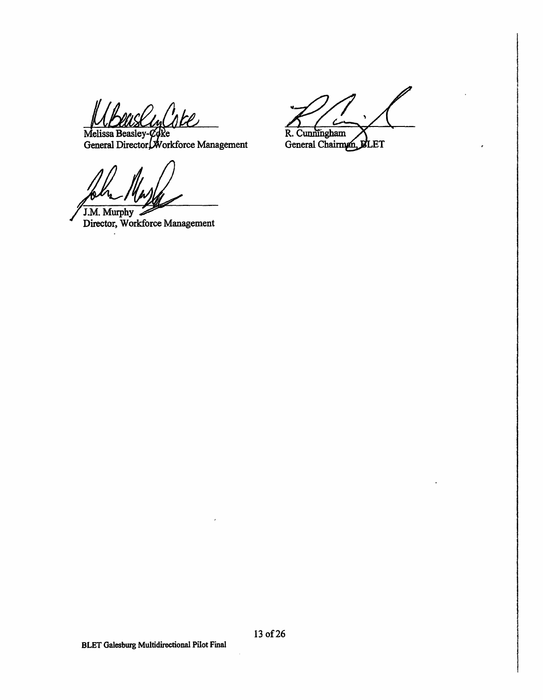uslinlote

e orkforce Management

J.M.Murphy Director, Workforce Management

R. Cunningham General Chairman, BLET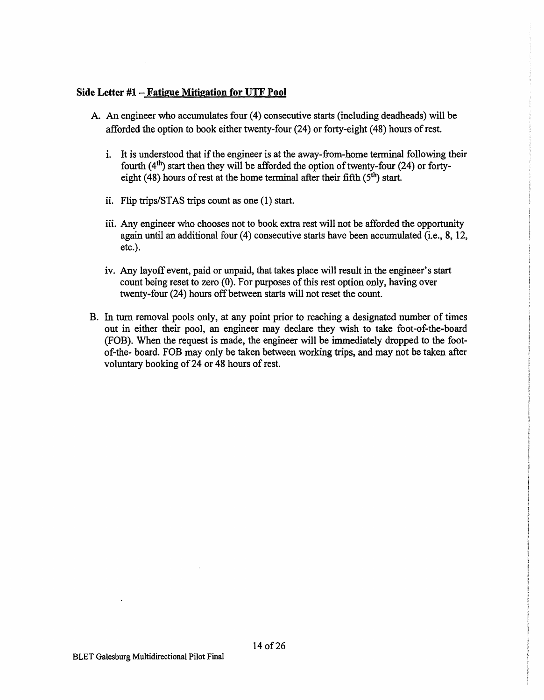## **Side Letter #1 - Fatigue Mitigation for UTF Pool**

- A. An engineer who accumulates four (4) consecutive starts (including deadheads) will be afforded the option to book either twenty-four (24) or forty-eight (48) hours of rest.
	- 1. It is understood that if the engineer is at the away-from-home terminal following their fourth  $(4<sup>th</sup>)$  start then they will be afforded the option of twenty-four (24) or fortyeight (48) hours of rest at the home terminal after their fifth  $(5<sup>th</sup>)$  start.
	- ii. Flip trips/STAS trips count as one (1) start.
	- iii. Any engineer who chooses not to book extra rest will not be afforded the opportunity again until an additional four (4) consecutive starts have been accumulated (i.e., 8, 12, etc.).
	- iv. Any layoff event, paid or unpaid, that takes place will result in the engineer's start count being reset to zero (0). For purposes of this rest option only, having over twenty-four (24) hours off between starts will not reset the count.
- B. In turn removal pools only, at any point prior to reaching a designated number of times out in either their pool, an engineer may declare they wish to take foot-of-the-board (FOB). When the request is made, the engineer will be immediately dropped to the footof-the- board. FOB may only be taken between working trips, and may not be taken after voluntary booking of24 or 48 hours of rest.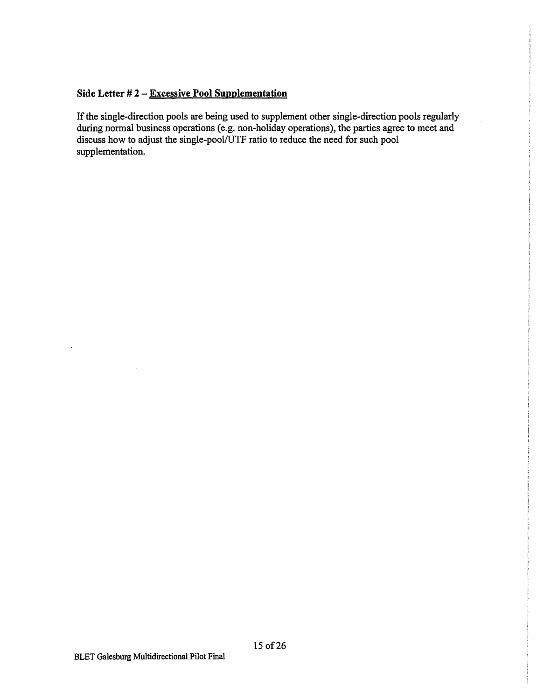## **Side Letter** # **2** - **Excessive Pool Supplementation**

If the single-direction pools are being used to supplement other single-direction pools regularly during normal business operations (e.g. non-holiday operations), the parties agree to meet and discuss how to adjust the single-pool/UTF ratio to reduce the need for such pool supplementation.

 $\overline{\phantom{a}}$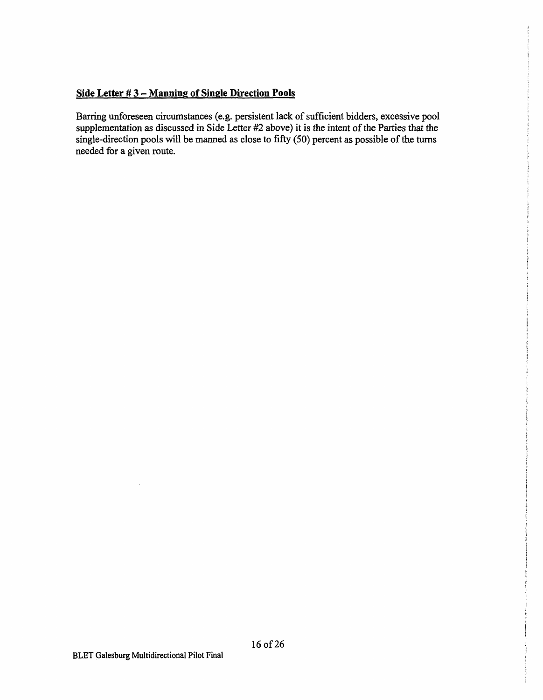## **Side Letter** # **3** - **Manning of Single Direction Pools**

 $\overline{\phantom{a}}$ 

Barring unforeseen circumstances (e.g. persistent lack of sufficient bidders, excessive pool supplementation as discussed in Side Letter #2 above) it is the intent of the Parties that the single-direction pools will be manned as close to fifty (50) percent as possible of the turns needed for a given route.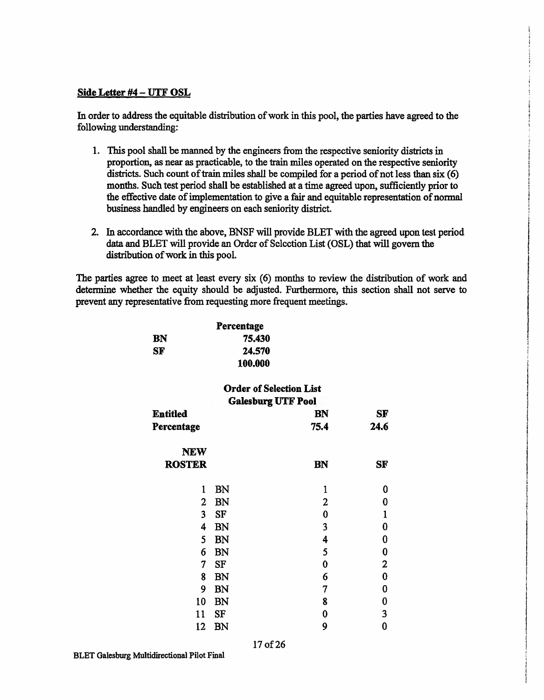#### **Side Letter #4** - **UTF OSL**

In order to address the equitable distribution of work in this pool, the parties have agreed to the following understanding:

- 1. This pool shall be manned by the engineers from the respective seniority districts in proportion, as near as practicable, to the train miles operated on the respective seniority districts. Such count of train miles shall be compiled for a period of not less than six (6) months. Such test period shall be established at a time agreed upon, sufficiently prior to the effective date of implementation to give a fair and equitable representation of normal business handled by engineers on each seniority district.
- 2. In accordance with the above, BNSF will provide BLET with the agreed upon test period data and BLET will provide an Order of Selection List {OSL) that will govern the distribution of work in this pool.

The parties agree to meet at least every six (6) months to review the distribution of work and determine whether the equity should be adjusted. Furthermore, this section shall not serve to prevent any representative from requesting more frequent meetings.

> *i*  ~ t i<br>I<br>I<br>I<br>I<br>I

1 i ! i t i i<br>Internationalistica (Internationalistica)<br>Internationalistica (Internationalistica) I l I ! la propinsi partir.<br>Ngjarje i<br>i<br>i<br>i

 $\parallel$  $\vert$ 

i<br>International<br>International I l I I

|                         | Percentage                     |              |                |
|-------------------------|--------------------------------|--------------|----------------|
| <b>BN</b>               | 75.430                         |              |                |
| <b>SF</b>               | 24.570                         |              |                |
|                         | 100.000                        |              |                |
|                         | <b>Order of Selection List</b> |              |                |
|                         | <b>Galesburg UTF Pool</b>      |              |                |
| <b>Entitled</b>         |                                | BN           | <b>SF</b>      |
| Percentage              |                                | 75.4         | 24.6           |
| <b>NEW</b>              |                                |              |                |
| <b>ROSTER</b>           |                                | <b>BN</b>    | SF             |
| 1                       | <b>BN</b>                      | $\mathbf{1}$ | 0              |
| $\mathbf 2$             | <b>BN</b>                      | 2            | $\bf{0}$       |
| $\overline{\mathbf{3}}$ | <b>SF</b>                      | $\bf{0}$     | $\mathbf{1}$   |
| $\overline{4}$          | <b>BN</b>                      | 3            | $\bf{0}$       |
| 5                       | <b>BN</b>                      | 4            | $\bf{0}$       |
| 6                       | <b>BN</b>                      | 5            | $\bf{0}$       |
| 7                       | <b>SF</b>                      | $\bf{0}$     | $\overline{2}$ |
| 8                       | <b>BN</b>                      | 6            | $\bf{0}$       |
| 9                       | <b>BN</b>                      | 7            | $\bf{0}$       |
| 10                      | <b>BN</b>                      | 8            | $\bf{0}$       |
| 11                      | SF                             | 0            | 3              |
| 12                      | <b>BN</b>                      | 9            | $\bf{0}$       |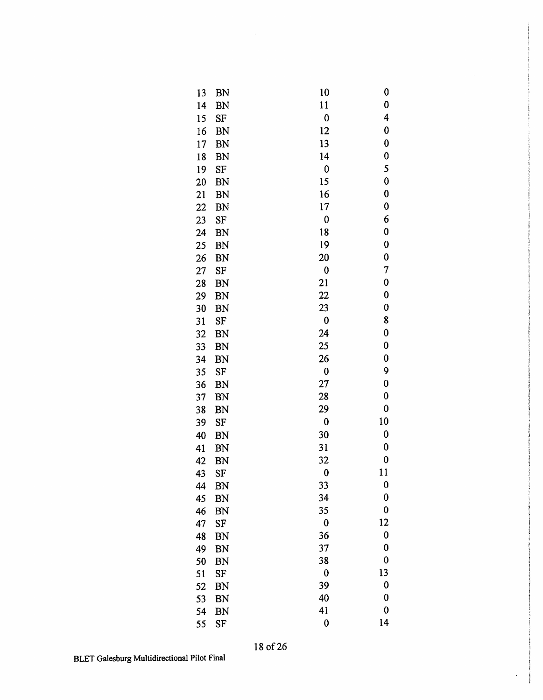| 13 | BN         | 10       | 0        |
|----|------------|----------|----------|
| 14 | BN         | 11       | 0        |
| 15 | SF         | $\bf{0}$ | 4        |
| 16 | <b>BN</b>  | 12       | 0        |
| 17 | <b>BN</b>  | 13       | 0        |
| 18 | <b>BN</b>  | 14       | 0        |
| 19 | SF         | 0        | 5        |
| 20 | <b>BN</b>  | 15       | 0        |
| 21 | <b>BN</b>  | 16       | $\bf{0}$ |
| 22 | BN         | 17       | 0        |
| 23 | SF         | $\bf{0}$ | 6        |
| 24 | BN         | 18       | 0        |
| 25 | BN         | 19       | 0        |
| 26 | BN         | 20       | 0        |
| 27 | SF         | $\bf{0}$ | 7        |
| 28 | BN         | 21       | $\bf{0}$ |
| 29 | <b>BN</b>  | 22       | 0        |
| 30 | BN         | 23       | 0        |
| 31 | SF         | $\bf{0}$ | 8        |
| 32 | BN         | 24       | $\bf{0}$ |
| 33 | BN         | 25       | 0        |
| 34 | <b>BN</b>  | 26       | $\bf{0}$ |
| 35 | <b>SF</b>  | 0        | 9        |
| 36 | BN         | 27       | $\bf{0}$ |
| 37 | BN         | 28       | 0        |
| 38 | BN         | 29       | $\bf{0}$ |
| 39 | ${\rm SF}$ | $\bf{0}$ | 10       |
| 40 | BN         | 30       | $\bf{0}$ |
| 41 | BN         | 31       | 0        |
| 42 | BN         | 32       | $\bf{0}$ |
| 43 | SF         | $\bf{0}$ | 11       |
| 44 | BN         | 33       | 0        |
| 45 | BN         | 34       | $\bf{0}$ |
| 46 | <b>BN</b>  | 35       | $\bf{0}$ |
| 47 | SF         | $\bf{0}$ | 12       |
| 48 | BN         | 36       | $\bf{0}$ |
| 49 | BN         | 37       | $\bf{0}$ |
| 50 | BN         | 38       | $\bf{0}$ |
| 51 | SF         | $\bf{0}$ | 13       |
| 52 | BN         | 39       | $\bf{0}$ |
| 53 | BN         | 40       | $\bf{0}$ |
| 54 | <b>BN</b>  | 41       | $\bf{0}$ |
| 55 | <b>SF</b>  | 0        | 14       |

**COMPARY**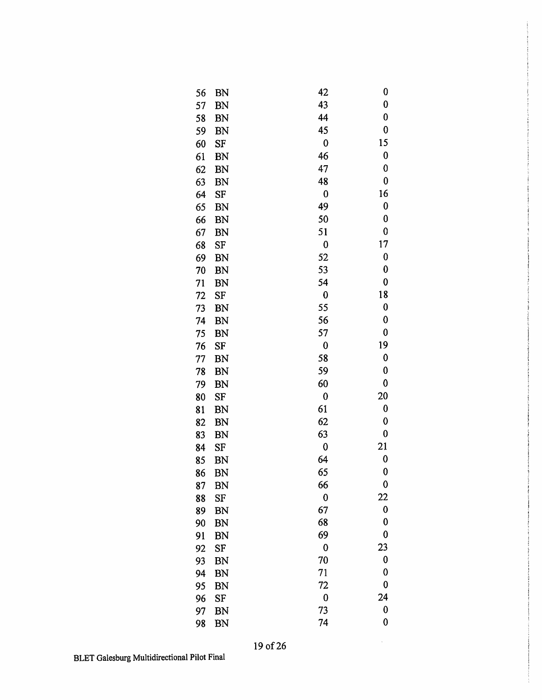| 56 | BN        | 42               | 0         |
|----|-----------|------------------|-----------|
| 57 | BN        | 43               | $\bf{0}$  |
| 58 | <b>BN</b> | 44               | $\bf{0}$  |
| 59 | BN        | 45               | $\bf{0}$  |
| 60 | SF        | $\mathbf 0$      | 15        |
| 61 | BN        | 46               | 0         |
| 62 | <b>BN</b> | 47               | 0         |
| 63 | BN        | 48               | $\bf{0}$  |
| 64 | SF        | $\bf{0}$         | 16        |
| 65 | <b>BN</b> | 49               | $\bf{0}$  |
| 66 | BN        | 50               | 0         |
| 67 | <b>BN</b> | 51               | 0         |
| 68 | SF        | 0                | 17        |
| 69 | <b>BN</b> | 52               | 0         |
| 70 | BN        | 53               | $\bf{0}$  |
| 71 | BN        | 54               | 0         |
| 72 | SF        | $\bf{0}$         | 18        |
| 73 | BN        | 55               | $\bf{0}$  |
| 74 | <b>BN</b> | 56               | 0         |
| 75 | BN        | 57               | $\bf{0}$  |
| 76 | SF        | 0                | 19        |
| 77 | BN        | 58               | 0         |
| 78 | <b>BN</b> | 59               | 0         |
| 79 | <b>BN</b> | 60               | 0         |
| 80 | SF        | $\boldsymbol{0}$ | 20        |
| 81 | BN        | 61               | $\pmb{0}$ |
| 82 | <b>BN</b> | 62               | 0         |
| 83 | <b>BN</b> | 63               | $\bf{0}$  |
| 84 | SF        | 0                | 21        |
| 85 | BN        | 64               | $\pmb{0}$ |
| 86 | BN        | 65               | 0         |
| 87 | <b>BN</b> | 66               | 0         |
| 88 | SF        | 0                | 22        |
| 89 | BN        | 67               | $\bf{0}$  |
| 90 | BN        | 68               | 0         |
| 91 | <b>BN</b> | 69               | 0         |
| 92 | SF        | $\bf{0}$         | 23        |
| 93 | BN        | 70               | 0         |
| 94 | BN        | 71               | 0         |
| 95 | <b>BN</b> | 72               | $\bf{0}$  |
| 96 | SF        | 0                | 24        |
| 97 | BN        | 73               | 0         |
| 98 | BN        | 74               | $\bf{0}$  |

 $\sim$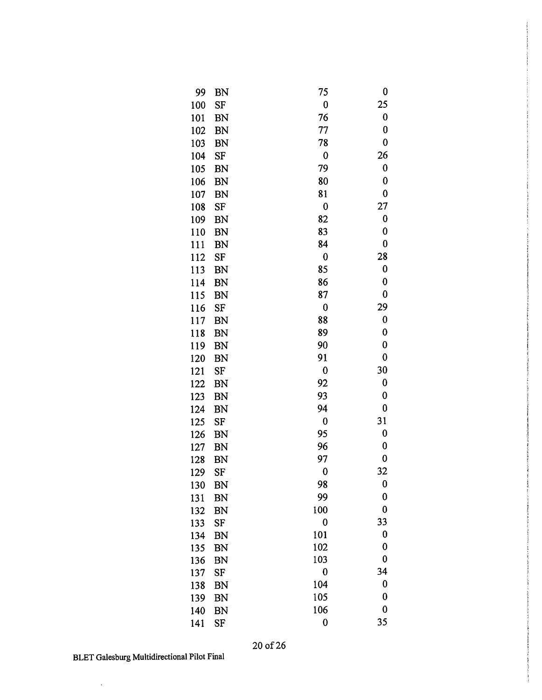| 99  | BN        | 75          | 0           |
|-----|-----------|-------------|-------------|
| 100 | <b>SF</b> | 0           | 25          |
| 101 | BN        | 76          | 0           |
| 102 | <b>BN</b> | 77          | 0           |
| 103 | BN        | 78          | $\mathbf 0$ |
| 104 | SF        | $\mathbf 0$ | 26          |
| 105 | <b>BN</b> | 79          | $\bf{0}$    |
| 106 | BN        | 80          | 0           |
| 107 | <b>BN</b> | 81          | 0           |
| 108 | SF        | $\bf{0}$    | 27          |
| 109 | <b>BN</b> | 82          | 0           |
| 110 | <b>BN</b> | 83          | 0           |
| 111 | BN        | 84          | 0           |
| 112 | SF        | $\bf{0}$    | 28          |
| 113 | BN        | 85          | 0           |
| 114 | BN        | 86          | 0           |
| 115 | BN        | 87          | $\bf{0}$    |
| 116 | SF        | 0           | 29          |
| 117 | <b>BN</b> | 88          | 0           |
| 118 | <b>BN</b> | 89          | $\bf{0}$    |
| 119 | <b>BN</b> | 90          | 0           |
| 120 | <b>BN</b> | 91          | 0           |
| 121 | <b>SF</b> | $\bf{0}$    | 30          |
| 122 | <b>BN</b> | 92          | 0           |
| 123 | BN        | 93          | $\mathbf 0$ |
| 124 | BN        | 94          | 0           |
| 125 | <b>SF</b> | $\bf{0}$    | 31          |
| 126 | BN        | 95          | 0           |
| 127 | <b>BN</b> | 96          | 0           |
| 128 | <b>BN</b> | 97          | $\bf{0}$    |
| 129 | SF        | 0           | 32          |
| 130 | <b>BN</b> | 98          | 0           |
| 131 | <b>BN</b> | 99          | $\bf{0}$    |
| 132 | <b>BN</b> | 100         | $\bf{0}$    |
| 133 | SF        | $\bf{0}$    | 33          |
| 134 | <b>BN</b> | 101         | $\bf{0}$    |
| 135 | BN        | 102         | 0           |
| 136 | <b>BN</b> | 103         | $\bf{0}$    |
| 137 | SF        | $\bf{0}$    | 34          |
| 138 | BN        | 104         | 0           |
| 139 | <b>BN</b> | 105         | $\bf{0}$    |
| 140 | <b>BN</b> | 106         | $\bf{0}$    |
| 141 | <b>SF</b> | $\bf{0}$    | 35          |

 $\ddot{\phantom{a}}$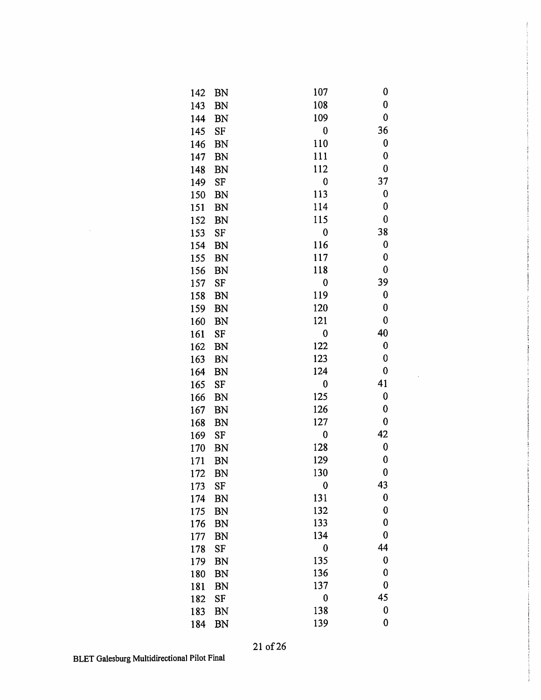| 142 | BN        | 107      | 0        |
|-----|-----------|----------|----------|
| 143 | BN        | 108      | 0        |
| 144 | BN        | 109      | 0        |
| 145 | SF        | 0        | 36       |
| 146 | <b>BN</b> | 110      | 0        |
| 147 | BN        | 111      | 0        |
| 148 | <b>BN</b> | 112      | $\bf{0}$ |
| 149 | SF        | $\bf{0}$ | 37       |
| 150 | <b>BN</b> | 113      | 0        |
| 151 | <b>BN</b> | 114      | 0        |
| 152 | <b>BN</b> | 115      | 0        |
| 153 | SF        | $\bf{0}$ | 38       |
| 154 | <b>BN</b> | 116      | 0        |
| 155 | <b>BN</b> | 117      | 0        |
| 156 | BN        | 118      | 0        |
| 157 | SF        | $\bf{0}$ | 39       |
| 158 | <b>BN</b> | 119      | 0        |
| 159 | <b>BN</b> | 120      | 0        |
| 160 | <b>BN</b> | 121      | 0        |
| 161 | SF        | $\bf{0}$ | 40       |
| 162 | BN        | 122      | 0        |
| 163 | <b>BN</b> | 123      | 0        |
| 164 | <b>BN</b> | 124      | 0        |
| 165 | SF        | 0        | 41       |
| 166 | <b>BN</b> | 125      | 0        |
| 167 | BN        | 126      | 0        |
| 168 | <b>BN</b> | 127      | 0        |
| 169 | <b>SF</b> | $\bf{0}$ | 42       |
| 170 | BN        | 128      | 0        |
| 171 | BN        | 129      | 0        |
| 172 | BN        | 130      | 0        |
| 173 | SF        | 0        | 43       |
| 174 | <b>BN</b> | 131      | $\bf{0}$ |
| 175 | <b>BN</b> | 132      | 0        |
| 176 | <b>BN</b> | 133      | $\bf{0}$ |
| 177 | <b>BN</b> | 134      | $\bf{0}$ |
| 178 | <b>SF</b> | $\bf{0}$ | 44       |
| 179 | <b>BN</b> | 135      | $\bf{0}$ |
| 180 | <b>BN</b> | 136      | 0        |
| 181 | <b>BN</b> | 137      | $\bf{0}$ |
| 182 | <b>SF</b> | $\bf{0}$ | 45       |
| 183 | <b>BN</b> | 138      | $\bf{0}$ |
| 184 | <b>BN</b> | 139      | 0        |

 $\bar{z}$ 

 $\sim$   $\mu$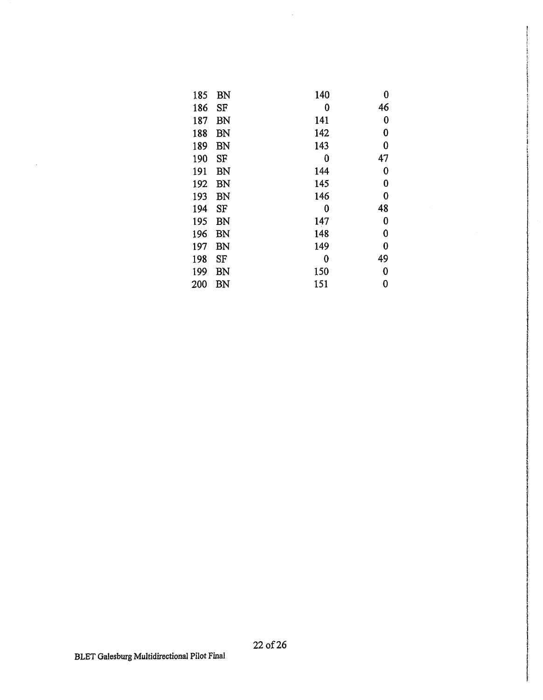| 185 | <b>BN</b> | 140 | 0        |
|-----|-----------|-----|----------|
| 186 | SF        | 0   | 46       |
| 187 | BN        | 141 | 0        |
| 188 | BN        | 142 | 0        |
| 189 | BN        | 143 | 0        |
| 190 | SF        | 0   | 47       |
| 191 | BN        | 144 | 0        |
| 192 | BN        | 145 | 0        |
| 193 | BN        | 146 | 0        |
| 194 | SF        | 0   | 48       |
| 195 | BN        | 147 | 0        |
| 196 | BN        | 148 | $\bf{0}$ |
| 197 | BN        | 149 | 0        |
| 198 | SF        | 0   | 49       |
| 199 | <b>BN</b> | 150 | 0        |
| 200 | BN        | 151 | 0        |

 $\bar{z}$ 

 $\mathcal{L}_{\mathcal{A}}$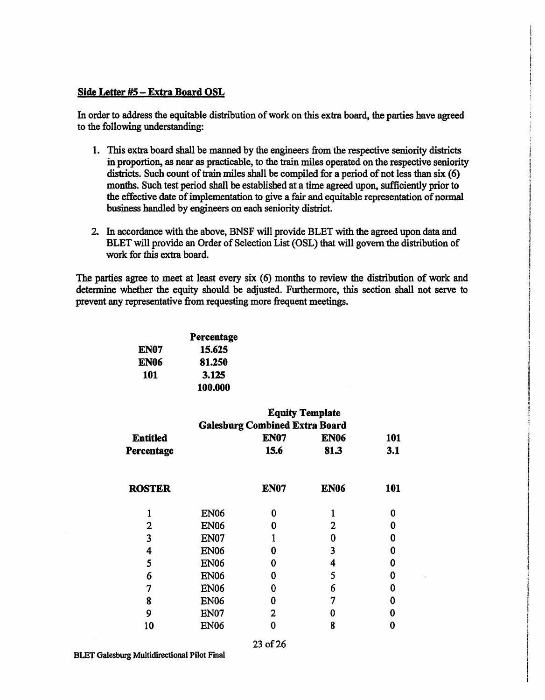#### **Side Letter #5-Extra Board OSL**

In order to address the equitable distribution of work on this extra board, the parties have agreed to the following understanding:

- 1. This extra board shall be manned by the engineers from the respective seniority districts in proportion, as near as practicable, to the train miles operated on the respective seniority districts. Such count of train miles shall be compiled for a period of not less than six (6) months. Such test period shall be established at a time agreed upon, sufficiently prior to the effective date of implementation to give a fair and equitable representation of normal business handled by engineers on each seniority district.
- 2. In accordance with the above, BNSF will provide BLET with the agreed upon data and BLET will provide an Order of Selection List (OSL) that will govern the distribution of work for this extra board.

The parties agree to meet at least every six (6) months to review the distribution of work and determine whether the equity should be adjusted. Furthermore, this section shall not serve to prevent any representative from requesting more frequent meetings.

|      | Percentage |
|------|------------|
| EN07 | 15.625     |
| EN06 | 81.250     |
| 101  | 3.125      |
|      | 100.000    |

|                                       |             | <b>Equity Template</b> |             |     |  |
|---------------------------------------|-------------|------------------------|-------------|-----|--|
| <b>Galesburg Combined Extra Board</b> |             |                        |             |     |  |
| <b>Entitled</b>                       |             | <b>EN07</b>            | <b>EN06</b> | 101 |  |
| Percentage                            |             | 15.6                   | 81.3        | 3.1 |  |
| <b>ROSTER</b>                         |             | <b>EN07</b>            | <b>EN06</b> | 101 |  |
|                                       | <b>EN06</b> | 0                      |             | 0   |  |
| $\mathbf{2}$                          | <b>EN06</b> | Ω                      | 2           | 0   |  |
| 3                                     | EN07        |                        | 0           | ი   |  |
| 4                                     | <b>EN06</b> | N                      | 3           | 0   |  |
| 5                                     | <b>EN06</b> | 0                      | 4           | Λ   |  |
| 6                                     | <b>EN06</b> | 0                      | 5           | Λ   |  |
| 7                                     | <b>EN06</b> | 0                      | 6           | Λ   |  |
| 8                                     | <b>EN06</b> | O                      | 7           |     |  |
| 9                                     | EN07        | 2                      | 0           |     |  |
| 10                                    | <b>EN06</b> | n                      | 8           |     |  |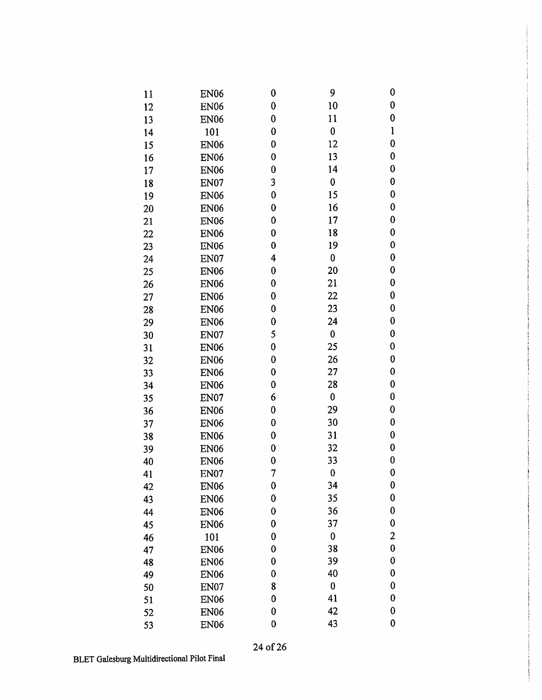| 11 | <b>EN06</b>      | $\boldsymbol{0}$ | 9                | $\bf{0}$         |
|----|------------------|------------------|------------------|------------------|
| 12 | <b>EN06</b>      | $\bf{0}$         | 10               | $\pmb{0}$        |
| 13 | <b>EN06</b>      | 0                | 11               | 0                |
| 14 | 101              | $\bf{0}$         | $\bf{0}$         | $\mathbf{1}$     |
| 15 | <b>EN06</b>      | 0                | 12               | $\boldsymbol{0}$ |
| 16 | <b>EN06</b>      | 0                | 13               | 0                |
| 17 | <b>EN06</b>      | $\bf{0}$         | 14               | $\bf{0}$         |
| 18 | <b>EN07</b>      | 3                | $\bf{0}$         | $\bf{0}$         |
| 19 | <b>EN06</b>      | $\mathbf 0$      | 15               | $\bf{0}$         |
| 20 | <b>EN06</b>      | $\boldsymbol{0}$ | 16               | $\boldsymbol{0}$ |
| 21 | <b>EN06</b>      | 0                | 17               | 0                |
| 22 | <b>EN06</b>      | $\bf{0}$         | 18               | $\bf{0}$         |
| 23 | <b>EN06</b>      | $\bf{0}$         | 19               | 0                |
| 24 | <b>EN07</b>      | 4                | 0                | $\pmb{0}$        |
| 25 | <b>EN06</b>      | $\boldsymbol{0}$ | 20               | $\bf{0}$         |
| 26 | <b>EN06</b>      | $\bf{0}$         | 21               | 0                |
| 27 | <b>EN06</b>      | $\mathbf 0$      | 22               | 0                |
| 28 | <b>EN06</b>      | 0                | 23               | 0                |
| 29 | <b>EN06</b>      | $\mathbf 0$      | 24               | $\bf{0}$         |
| 30 | <b>EN07</b>      | 5                | 0                | $\bf{0}$         |
| 31 | <b>EN06</b>      | $\boldsymbol{0}$ | 25               | 0                |
| 32 | <b>EN06</b>      | $\bf{0}$         | 26               | 0                |
| 33 | <b>EN06</b>      | 0                | 27               | 0                |
| 34 | <b>EN06</b>      | $\boldsymbol{0}$ | 28               | $\pmb{0}$        |
| 35 | <b>EN07</b>      | 6                | $\bf{0}$         | 0                |
| 36 | <b>EN06</b>      | $\boldsymbol{0}$ | 29               | 0                |
| 37 | <b>EN06</b>      | $\boldsymbol{0}$ | 30               | 0                |
| 38 | <b>EN06</b>      | 0                | 31               | 0                |
| 39 | EN <sub>06</sub> | $\boldsymbol{0}$ | 32               | 0                |
| 40 | <b>EN06</b>      | $\boldsymbol{0}$ | 33               | $\pmb{0}$        |
| 41 | EN07             | 7                | $\boldsymbol{0}$ | $\mathbf 0$      |
| 42 | <b>EN06</b>      | $\boldsymbol{0}$ | 34               | $\bf{0}$         |
| 43 | <b>EN06</b>      | 0                | 35               | $\bf{0}$         |
| 44 | <b>EN06</b>      | $\mathbf 0$      | 36               | $\bf{0}$         |
| 45 | <b>EN06</b>      | 0                | 37               | 0                |
| 46 | 101              | 0                | $\boldsymbol{0}$ | $\overline{c}$   |
| 47 | <b>EN06</b>      | $\mathbf 0$      | 38               | $\bf{0}$         |
| 48 | <b>EN06</b>      | 0                | 39               | $\bf{0}$         |
| 49 | <b>EN06</b>      | 0                | 40               | $\bf{0}$         |
| 50 | EN07             | 8                | $\bf{0}$         | 0                |
| 51 | <b>EN06</b>      | 0                | 41               | $\bf{0}$         |
| 52 | <b>EN06</b>      | $\bf{0}$         | 42               | 0                |
| 53 | <b>EN06</b>      | $\mathbf 0$      | 43               | $\bf{0}$         |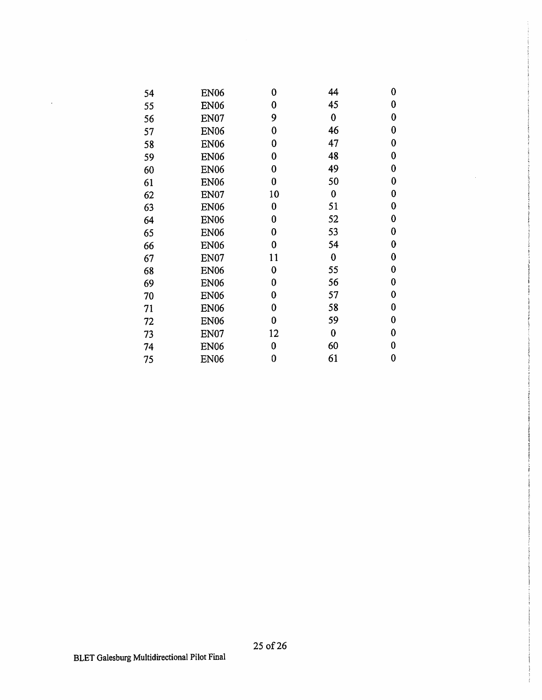| 54 | <b>EN06</b> | 0        | 44       | 0        |
|----|-------------|----------|----------|----------|
| 55 | <b>EN06</b> | 0        | 45       | 0        |
| 56 | EN07        | 9        | 0        | 0        |
| 57 | <b>EN06</b> | $\bf{0}$ | 46       | 0        |
| 58 | <b>EN06</b> | 0        | 47       | 0        |
| 59 | <b>EN06</b> | 0        | 48       | 0        |
| 60 | <b>EN06</b> | 0        | 49       | 0        |
| 61 | <b>EN06</b> | 0        | 50       | 0        |
| 62 | EN07        | 10       | $\bf{0}$ | 0        |
| 63 | <b>EN06</b> | 0        | 51       | 0        |
| 64 | <b>EN06</b> | 0        | 52       | 0        |
| 65 | <b>EN06</b> | 0        | 53       | 0        |
| 66 | <b>EN06</b> | 0        | 54       | 0        |
| 67 | EN07        | 11       | $\bf{0}$ | 0        |
| 68 | <b>EN06</b> | 0        | 55       | $\bf{0}$ |
| 69 | <b>EN06</b> | 0        | 56       | 0        |
| 70 | <b>EN06</b> | 0        | 57       | 0        |
| 71 | <b>EN06</b> | 0        | 58       | 0        |
| 72 | <b>EN06</b> | 0        | 59       | 0        |
| 73 | EN07        | 12       | $\bf{0}$ | 0        |
| 74 | <b>EN06</b> | 0        | 60       | 0        |
| 75 | <b>EN06</b> | 0        | 61       | 0        |

 $\sim$ 

 $\langle \cdot \rangle$